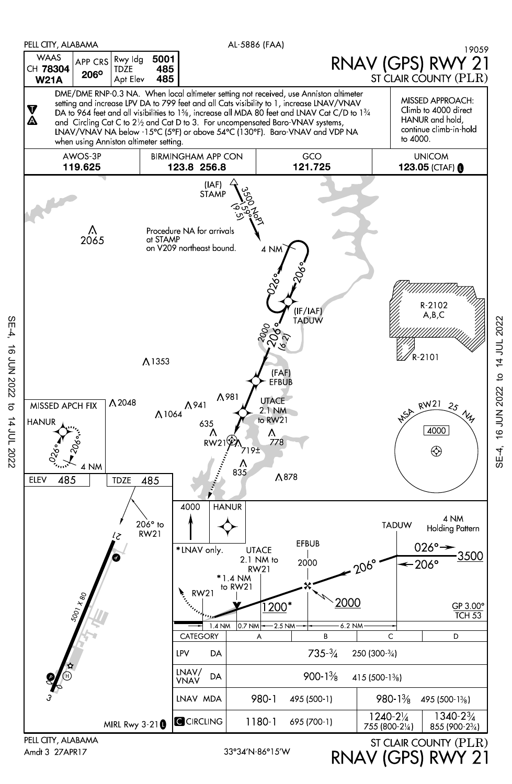

Amdt 3 27APR17

SE-4, 16 JUN 2022 to 14 JUL 2022

 $\sigma$ 

14 JUL 2022

**16 JUN 2022** 

 $SE-4$ 

RNAV (GPS) RWY 21

to 14 JUL 2022 SE-4, 16 JUN 2022 to 14 JUL 2022SE-4, 16 JUN 2022